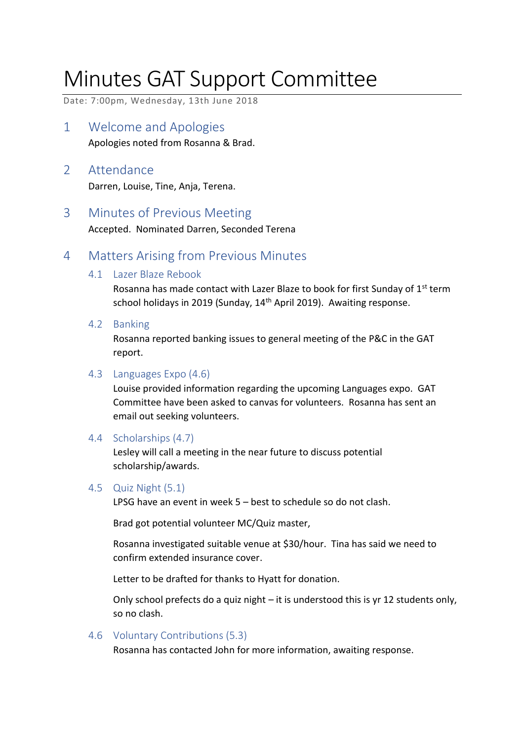# Minutes GAT Support Committee

Date: 7:00pm, Wednesday, 13th June 2018

- 1 Welcome and Apologies Apologies noted from Rosanna & Brad.
- 2 Attendance Darren, Louise, Tine, Anja, Terena.
- 3 Minutes of Previous Meeting

Accepted. Nominated Darren, Seconded Terena

### 4 Matters Arising from Previous Minutes

4.1 Lazer Blaze Rebook

Rosanna has made contact with Lazer Blaze to book for first Sunday of 1<sup>st</sup> term school holidays in 2019 (Sunday, 14<sup>th</sup> April 2019). Awaiting response.

4.2 Banking

Rosanna reported banking issues to general meeting of the P&C in the GAT report.

#### 4.3 Languages Expo (4.6)

Louise provided information regarding the upcoming Languages expo. GAT Committee have been asked to canvas for volunteers. Rosanna has sent an email out seeking volunteers.

4.4 Scholarships (4.7)

Lesley will call a meeting in the near future to discuss potential scholarship/awards.

### 4.5 Quiz Night (5.1)

LPSG have an event in week 5 – best to schedule so do not clash.

Brad got potential volunteer MC/Quiz master,

Rosanna investigated suitable venue at \$30/hour. Tina has said we need to confirm extended insurance cover.

Letter to be drafted for thanks to Hyatt for donation.

Only school prefects do a quiz night – it is understood this is yr 12 students only, so no clash.

4.6 Voluntary Contributions (5.3)

Rosanna has contacted John for more information, awaiting response.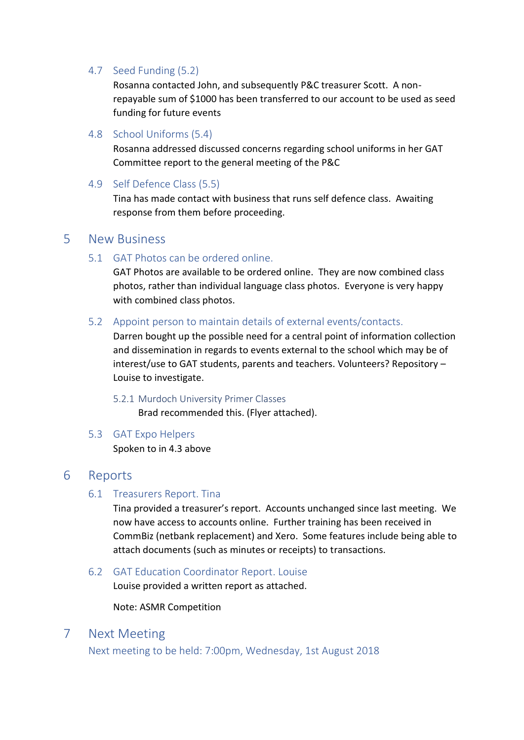#### 4.7 Seed Funding (5.2)

Rosanna contacted John, and subsequently P&C treasurer Scott. A nonrepayable sum of \$1000 has been transferred to our account to be used as seed funding for future events

4.8 School Uniforms (5.4)

Rosanna addressed discussed concerns regarding school uniforms in her GAT Committee report to the general meeting of the P&C

4.9 Self Defence Class (5.5)

Tina has made contact with business that runs self defence class. Awaiting response from them before proceeding.

### 5 New Business

5.1 GAT Photos can be ordered online.

GAT Photos are available to be ordered online. They are now combined class photos, rather than individual language class photos. Everyone is very happy with combined class photos.

5.2 Appoint person to maintain details of external events/contacts.

Darren bought up the possible need for a central point of information collection and dissemination in regards to events external to the school which may be of interest/use to GAT students, parents and teachers. Volunteers? Repository – Louise to investigate.

5.2.1 Murdoch University Primer Classes

Brad recommended this. (Flyer attached).

#### 5.3 GAT Expo Helpers

Spoken to in 4.3 above

### 6 Reports

#### 6.1 Treasurers Report. Tina

Tina provided a treasurer's report. Accounts unchanged since last meeting. We now have access to accounts online. Further training has been received in CommBiz (netbank replacement) and Xero. Some features include being able to attach documents (such as minutes or receipts) to transactions.

6.2 GAT Education Coordinator Report. Louise

Louise provided a written report as attached.

Note: ASMR Competition

### 7 Next Meeting

Next meeting to be held: 7:00pm, Wednesday, 1st August 2018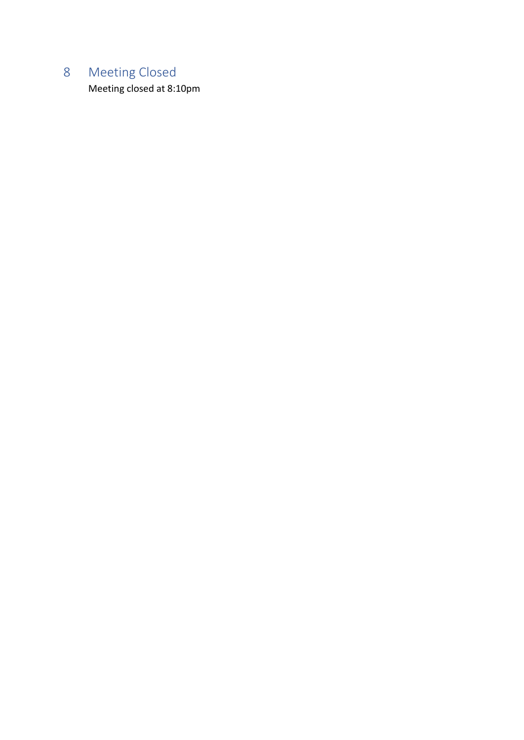# 8 Meeting Closed

Meeting closed at 8:10pm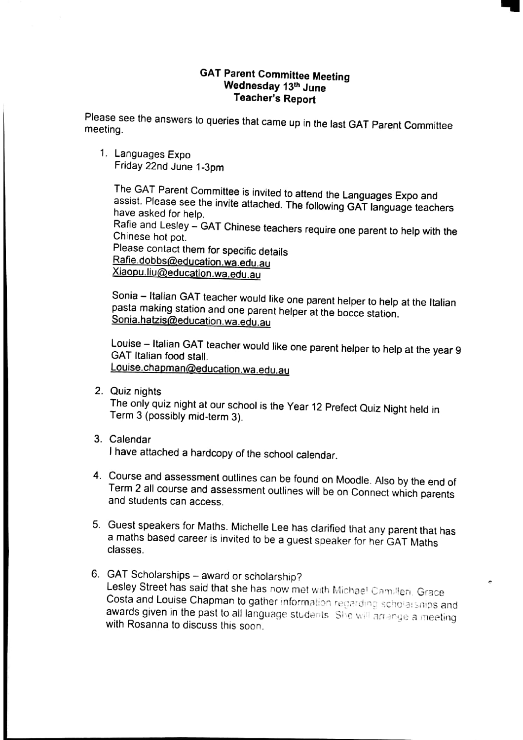#### **GAT Parent Committee Meeting** Wednesday 13th June **Teacher's Report**

Please see the answers to queries that came up in the last GAT Parent Committee meeting.

1. Languages Expo Friday 22nd June 1-3pm

> The GAT Parent Committee is invited to attend the Languages Expo and assist. Please see the invite attached. The following GAT language teachers have asked for help.

> Rafie and Lesley - GAT Chinese teachers require one parent to help with the Chinese hot pot

Please contact them for specific details Rafie.dobbs@education.wa.edu.au Xiaopu.liu@education.wa.edu.au

Sonia - Italian GAT teacher would like one parent helper to help at the Italian pasta making station and one parent helper at the bocce station. Sonia.hatzis@education.wa.edu.au

Louise - Italian GAT teacher would like one parent helper to help at the year 9 GAT Italian food stall. Louise.chapman@education.wa.edu.au

2. Quiz nights

The only quiz night at our school is the Year 12 Prefect Quiz Night held in Term 3 (possibly mid-term 3).

3. Calendar

I have attached a hardcopy of the school calendar.

- 4. Course and assessment outlines can be found on Moodle. Also by the end of Term 2 all course and assessment outlines will be on Connect which parents and students can access.
- 5. Guest speakers for Maths. Michelle Lee has clarified that any parent that has a maths based career is invited to be a guest speaker for her GAT Maths classes.
- 6. GAT Scholarships award or scholarship? Lesley Street has said that she has now met with Michael Camilleri, Grace Costa and Louise Chapman to gather information regarding scholarships and awards given in the past to all language students. She will arrange a meeting with Rosanna to discuss this soon.

è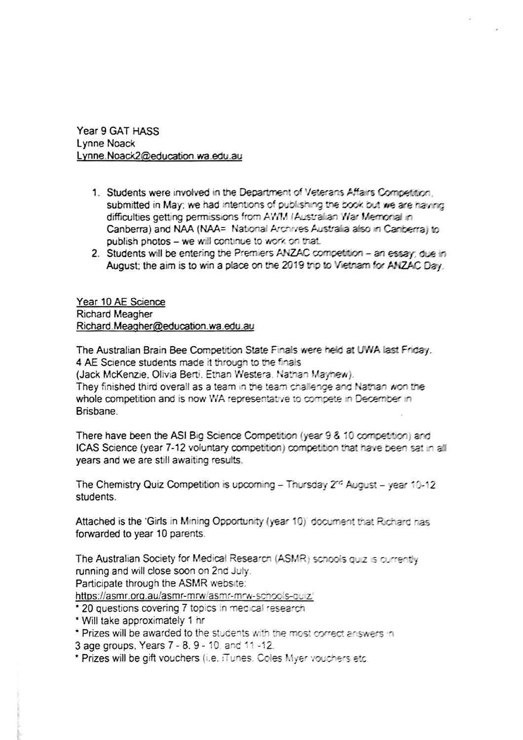Year 9 GAT HASS Lynne Noack Lynne.Noack2@education.wa.edu.au

- 1. Students were involved in the Department of Veterans Affairs Competition. submitted in May; we had intentions of publishing the book but we are having difficulties getting permissions from AWM (Australian War Memorial in Canberra) and NAA (NAA= National Archives Australia also in Canberra) to publish photos - we will continue to work on that.
- 2. Students will be entering the Premiers ANZAC competition an essay; due in August; the aim is to win a place on the 2019 trip to Vietnam for ANZAC Day.

Year 10 AE Science **Richard Meagher** Richard.Meagher@education.wa.edu.au

The Australian Brain Bee Competition State Finals were held at UWA last Friday. 4 AE Science students made it through to the finals (Jack McKenzie, Olivia Berti, Ethan Westera, Nathan Mayhew). They finished third overall as a team in the team challenge and Nathan won the whole competition and is now WA representative to compete in December in **Brishane** 

There have been the ASI Big Science Competition (year 9 & 10 competition) and ICAS Science (year 7-12 voluntary competition) competition that have been sat in all years and we are still awaiting results.

The Chemistry Quiz Competition is upcoming - Thursday  $2^{rd}$  August - year 10-12 students.

Attached is the 'Girls in Mining Opportunity (year 10)' document that Richard has forwarded to year 10 parents.

The Australian Society for Medical Research (ASMR) schools quiz is currently running and will close soon on 2nd July. Participate through the ASMR website: https://asmr.org.au/asmr-mrw/asmr-mrw-schools-guiz/

- \* 20 questions covering 7 topics in medical research
- \* Will take approximately 1 hr
- \* Prizes will be awarded to the students with the most correct answers in

3 age groups, Years 7 - 8, 9 - 10, and 11 -12.

\* Prizes will be gift vouchers (i.e. iTunes. Coles Myer vouchers etc.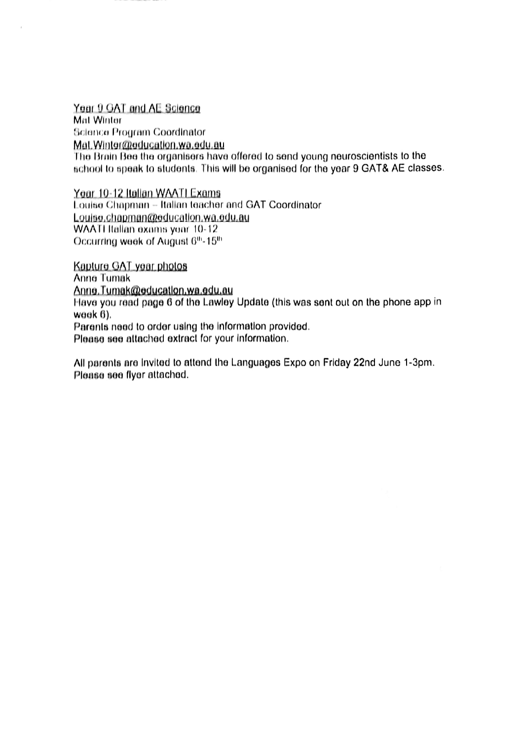Year 9 GAT and AE Science Mat Winter Science Program Coordinator Mat. Winter@education.wa.edu.au The Brain Bee the organisers have offered to send young neuroscientists to the school to speak to students. This will be organised for the year 9 GAT& AE classes.

Year 10-12 Italian WAATI Exams Louise Chapman - Italian teacher and GAT Coordinator Louise.chapman@education.wa.edu.au WAATI Italian exams year 10-12 Occurring week of August 6th-15th

Kapture GAT year photos Anne Tumak Anne.Tumak@education.wa.edu.au Have you read page 6 of the Lawley Update (this was sent out on the phone app in week 6). Parents need to order using the information provided.

Please see attached extract for your information.

All parents are invited to attend the Languages Expo on Friday 22nd June 1-3pm. Please see flyer attached.